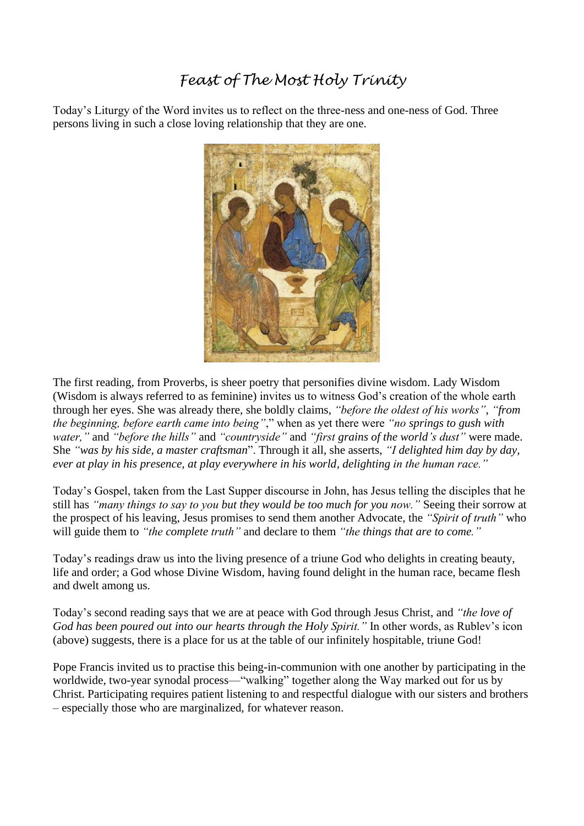## *Feast of The Most Holy Trinity*

Today's Liturgy of the Word invites us to reflect on the three-ness and one-ness of God. Three persons living in such a close loving relationship that they are one.



The first reading, from Proverbs, is sheer poetry that personifies divine wisdom. Lady Wisdom (Wisdom is always referred to as feminine) invites us to witness God's creation of the whole earth through her eyes. She was already there, she boldly claims, *"before the oldest of his works"*, *"from the beginning, before earth came into being"*," when as yet there were *"no springs to gush with water,"* and *"before the hills"* and *"countryside"* and *"first grains of the world's dust"* were made. She *"was by his side, a master craftsman*". Through it all, she asserts, *"I delighted him day by day, ever at play in his presence, at play everywhere in his world, delighting in the human race."*

Today's Gospel, taken from the Last Supper discourse in John, has Jesus telling the disciples that he still has *"many things to say to you but they would be too much for you now."* Seeing their sorrow at the prospect of his leaving, Jesus promises to send them another Advocate, the *"Spirit of truth"* who will guide them to *"the complete truth"* and declare to them *"the things that are to come."*

Today's readings draw us into the living presence of a triune God who delights in creating beauty, life and order; a God whose Divine Wisdom, having found delight in the human race*,* became flesh and dwelt among us.

Today's second reading says that we are at peace with God through Jesus Christ, and *"the love of God has been poured out into our hearts through the Holy Spirit."* In other words, as Rublev's icon (above) suggests, there is a place for us at the table of our infinitely hospitable, triune God!

Pope Francis invited us to practise this being-in-communion with one another by participating in the worldwide, two-year synodal process—"walking" together along the Way marked out for us by Christ. Participating requires patient listening to and respectful dialogue with our sisters and brothers – especially those who are marginalized, for whatever reason.